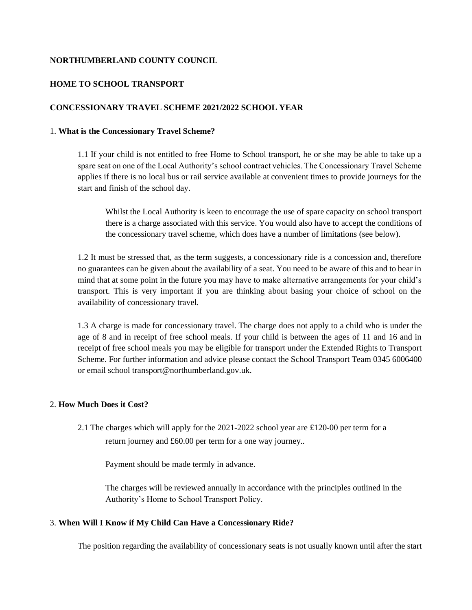## **NORTHUMBERLAND COUNTY COUNCIL**

#### **HOME TO SCHOOL TRANSPORT**

# **CONCESSIONARY TRAVEL SCHEME 2021/2022 SCHOOL YEAR**

## 1. **What is the Concessionary Travel Scheme?**

1.1 If your child is not entitled to free Home to School transport, he or she may be able to take up a spare seat on one of the Local Authority's school contract vehicles. The Concessionary Travel Scheme applies if there is no local bus or rail service available at convenient times to provide journeys for the start and finish of the school day.

Whilst the Local Authority is keen to encourage the use of spare capacity on school transport there is a charge associated with this service. You would also have to accept the conditions of the concessionary travel scheme, which does have a number of limitations (see below).

1.2 It must be stressed that, as the term suggests, a concessionary ride is a concession and, therefore no guarantees can be given about the availability of a seat. You need to be aware of this and to bear in mind that at some point in the future you may have to make alternative arrangements for your child's transport. This is very important if you are thinking about basing your choice of school on the availability of concessionary travel.

1.3 A charge is made for concessionary travel. The charge does not apply to a child who is under the age of 8 and in receipt of free school meals. If your child is between the ages of 11 and 16 and in receipt of free school meals you may be eligible for transport under the Extended Rights to Transport Scheme. For further information and advice please contact the School Transport Team 0345 6006400 or email school transport@northumberland.gov.uk.

#### 2. **How Much Does it Cost?**

2.1 The charges which will apply for the 2021-2022 school year are £120-00 per term for a return journey and £60.00 per term for a one way journey..

Payment should be made termly in advance.

The charges will be reviewed annually in accordance with the principles outlined in the Authority's Home to School Transport Policy.

#### 3. **When Will I Know if My Child Can Have a Concessionary Ride?**

The position regarding the availability of concessionary seats is not usually known until after the start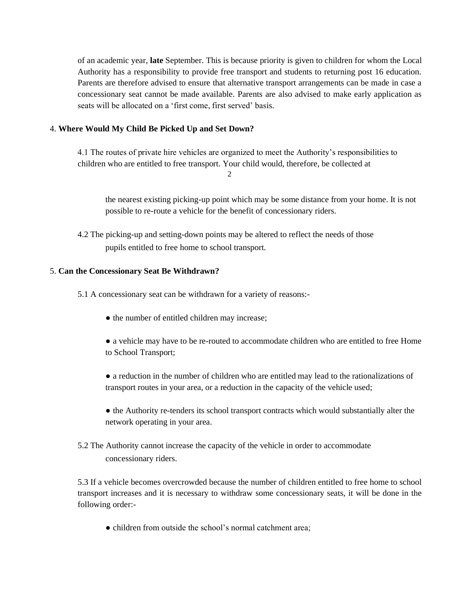of an academic year, **late** September. This is because priority is given to children for whom the Local Authority has a responsibility to provide free transport and students to returning post 16 education. Parents are therefore advised to ensure that alternative transport arrangements can be made in case a concessionary seat cannot be made available. Parents are also advised to make early application as seats will be allocated on a 'first come, first served' basis.

# 4. **Where Would My Child Be Picked Up and Set Down?**

4.1 The routes of private hire vehicles are organized to meet the Authority's responsibilities to children who are entitled to free transport. Your child would, therefore, be collected at

2

the nearest existing picking-up point which may be some distance from your home. It is not possible to re-route a vehicle for the benefit of concessionary riders.

4.2 The picking-up and setting-down points may be altered to reflect the needs of those pupils entitled to free home to school transport.

# 5. **Can the Concessionary Seat Be Withdrawn?**

5.1 A concessionary seat can be withdrawn for a variety of reasons:-

- the number of entitled children may increase;
- a vehicle may have to be re-routed to accommodate children who are entitled to free Home to School Transport;
- a reduction in the number of children who are entitled may lead to the rationalizations of transport routes in your area, or a reduction in the capacity of the vehicle used;
- the Authority re-tenders its school transport contracts which would substantially alter the network operating in your area.
- 5.2 The Authority cannot increase the capacity of the vehicle in order to accommodate concessionary riders.

5.3 If a vehicle becomes overcrowded because the number of children entitled to free home to school transport increases and it is necessary to withdraw some concessionary seats, it will be done in the following order:-

• children from outside the school's normal catchment area;